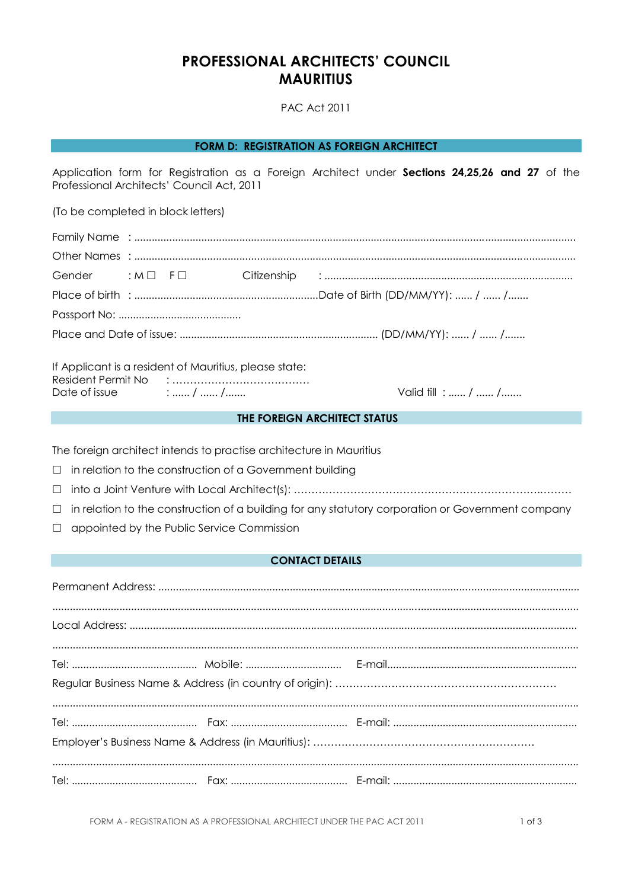# **PROFESSIONAL ARCHITECTS' COUNCIL MAURITIUS**

**PAC Act 2011** 

**FORM D: REGISTRATION AS FOREIGN ARCHITECT** 

Application form for Registration as a Foreign Architect under Sections 24,25,26 and 27 of the Professional Architects' Council Act, 2011

(To be completed in block letters)

| Gender : M D F D |  |  |  |
|------------------|--|--|--|
|                  |  |  |  |
|                  |  |  |  |
|                  |  |  |  |
|                  |  |  |  |

|                    | If Applicant is a resident of Mauritius, please state: |
|--------------------|--------------------------------------------------------|
| Resident Permit No |                                                        |
| Date of issue      |                                                        |

Valid till : ...... / ...... / .......

#### THE FOREIGN ARCHITECT STATUS

The foreign architect intends to practise architecture in Mauritius

- $\Box$  in relation to the construction of a Government building
- 
- $\Box$  in relation to the construction of a building for any statutory corporation or Government company
- $\Box$  appointed by the Public Service Commission

## **CONTACT DETAILS**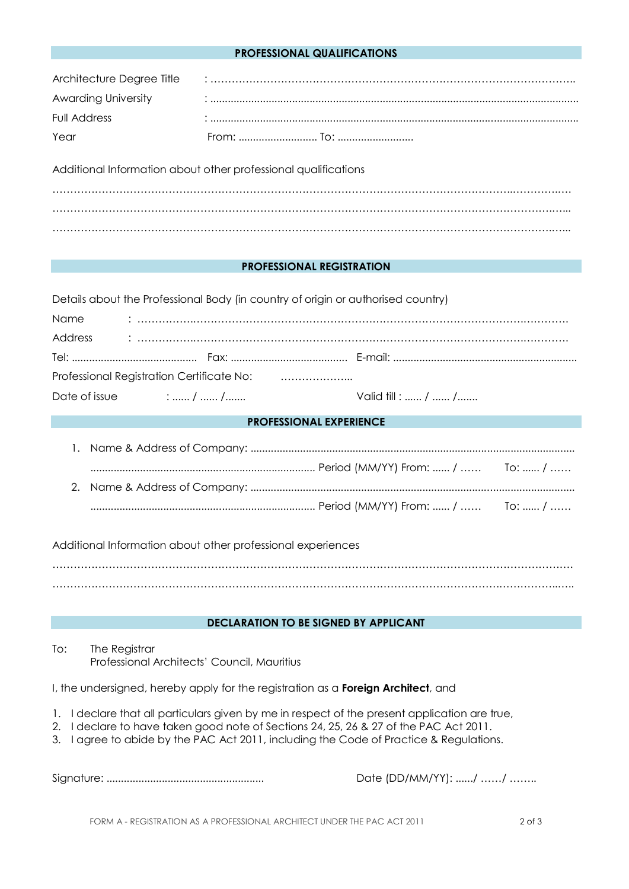#### **PROFESSIONAL QUALIFICATIONS**

| Architecture Degree Title  |  |
|----------------------------|--|
| <b>Awarding University</b> |  |
| Full Address               |  |
| Year                       |  |

Additional Information about other professional qualifications

#### **PROFESSIONAL REGISTRATION**

|      | Details about the Professional Body (in country of origin or authorised country) |                    |  |  |  |
|------|----------------------------------------------------------------------------------|--------------------|--|--|--|
| Name |                                                                                  |                    |  |  |  |
|      |                                                                                  |                    |  |  |  |
|      |                                                                                  |                    |  |  |  |
|      |                                                                                  |                    |  |  |  |
|      | Date of issue $\ldots$ , $\ldots$ , $\ldots$ , $\ldots$                          | Valid till :  /  / |  |  |  |

### **PROFESSIONAL EXPERIENCE**

Additional Information about other professional experiences

…………………………………………………………………………………………………………………………………. ……………………………………………………………………………………………………………….……………..…..

# **DECLARATION TO BE SIGNED BY APPLICANT**

To: The Registrar Professional Architects' Council, Mauritius

I, the undersigned, hereby apply for the registration as a **Foreign Architect**, and

- 1. I declare that all particulars given by me in respect of the present application are true,
- 2. I declare to have taken good note of Sections 24, 25, 26 & 27 of the PAC Act 2011.
- 3. I agree to abide by the PAC Act 2011, including the Code of Practice & Regulations.

Signature: ...................................................... Date (DD/MM/YY): ....../ ……/ ……..